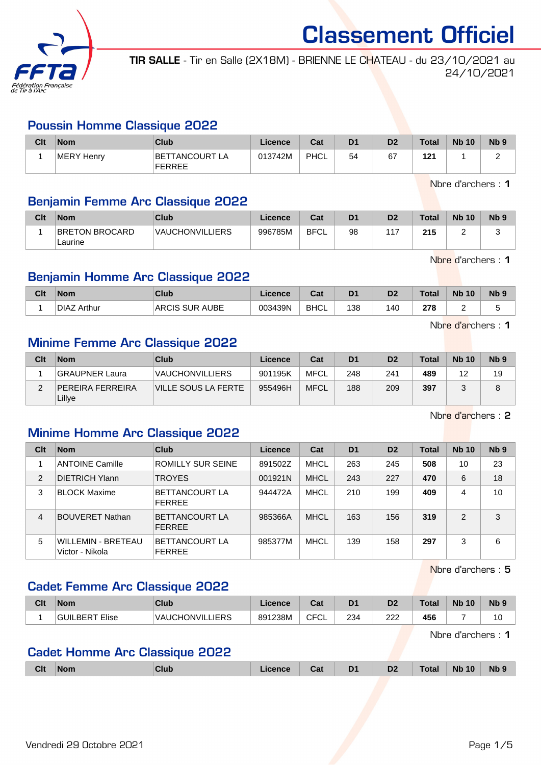

TIR SALLE - Tir en Salle (2X18M) - BRIENNE LE CHATEAU - du 23/10/2021 au 24/10/2021

#### Poussin Homme Classique 2022

| Clt | <b>Nom</b> | Club                            | Licence | Cat  | D <sub>1</sub> | D <sub>2</sub> | <b>Total</b> | <b>Nb 10</b> | N <sub>b</sub> 9 |
|-----|------------|---------------------------------|---------|------|----------------|----------------|--------------|--------------|------------------|
|     | MERY Henry | BETTANCOURT LA<br><b>FERREE</b> | 013742M | PHCL | 54             | 67             | 121          |              | -                |

Nbre d'archers : 1

### Benjamin Femme Arc Classique 2022

| Clt | <b>Nom</b>                       | Club                   | Licence | Cat         | D <sub>1</sub> | D <sub>2</sub> | Total | <b>Nb 10</b> | N <sub>b</sub> <sub>9</sub> |
|-----|----------------------------------|------------------------|---------|-------------|----------------|----------------|-------|--------------|-----------------------------|
|     | <b>BRETON BROCARD</b><br>Laurine | <b>VAUCHONVILLIERS</b> | 996785M | <b>BFCL</b> | 98             | $\sim$ $\sim$  | 215   |              |                             |

Nbre d'archers : 1

## Benjamin Homme Arc Classique 2022

| Clt | Nom                | Club                                     | Licence | ົາ+<br>udl  | D <sub>1</sub> | D <sub>2</sub> | <b>Total</b> | <b>Nb 10</b> | <b>N<sub>b</sub></b> |
|-----|--------------------|------------------------------------------|---------|-------------|----------------|----------------|--------------|--------------|----------------------|
|     | <b>DIAZ Arthur</b> | <b>SUR AUBE</b><br>AR <sub>0</sub><br>UБ | 003439N | <b>BHCL</b> | 138            | 140            | 278          |              |                      |

Nbre d'archers : 1

### Minime Femme Arc Classique 2022

| Clt | <b>Nom</b>                        | Club                   | Licence | Cat         | D <sub>1</sub> | D <sub>2</sub> | <b>Total</b> | <b>Nb 10</b> | N <sub>b</sub> <sub>9</sub> |
|-----|-----------------------------------|------------------------|---------|-------------|----------------|----------------|--------------|--------------|-----------------------------|
|     | <b>GRAUPNER Laura</b>             | <b>VAUCHONVILLIERS</b> | 901195K | <b>MFCL</b> | 248            | 241            | 489          | 12           | 19                          |
|     | <b>PEREIRA FERREIRA</b><br>Lillye | VILLE SOUS LA FERTE    | 955496H | <b>MFCL</b> | 188            | 209            | 397          |              | O                           |

Nbre d'archers : 2

### Minime Homme Arc Classique 2022

| Clt | <b>Nom</b>                                   | Club                                   | Licence | Cat         | D <sub>1</sub> | D <sub>2</sub> | <b>Total</b> | <b>Nb 10</b> | N <sub>b</sub> <sub>9</sub> |
|-----|----------------------------------------------|----------------------------------------|---------|-------------|----------------|----------------|--------------|--------------|-----------------------------|
|     | <b>ANTOINE Camille</b>                       | ROMILLY SUR SEINE                      | 891502Z | MHCL        | 263            | 245            | 508          | 10           | 23                          |
| 2   | <b>DIETRICH Ylann</b>                        | <b>TROYES</b>                          | 001921N | <b>MHCL</b> | 243            | 227            | 470          | 6            | 18                          |
| 3   | <b>BLOCK Maxime</b>                          | BETTANCOURT LA<br><b>FFRRFF</b>        | 944472A | MHCL        | 210            | 199            | 409          | 4            | 10                          |
| 4   | <b>BOUVERET Nathan</b>                       | BETTANCOURT LA<br><b>FERREE</b>        | 985366A | <b>MHCL</b> | 163            | 156            | 319          | 2            | 3                           |
| 5   | <b>WILLEMIN - BRETEAU</b><br>Victor - Nikola | <b>BETTANCOURT LA</b><br><b>FERREE</b> | 985377M | MHCL        | 139            | 158            | 297          | 3            | 6                           |

Nbre d'archers : 5

#### Cadet Femme Arc Classique 2022

| Clt | <b>Nom</b>     | Club                   | Licence | <b>Date</b><br>⊍a | D <sub>1</sub> | D <sub>2</sub> | <b>Total</b> | <b>Nb</b><br>10 | N <sub>b</sub> <sub>9</sub> |
|-----|----------------|------------------------|---------|-------------------|----------------|----------------|--------------|-----------------|-----------------------------|
|     | GUILBERT Elise | <b>VAUCHONVILLIERS</b> | 891238M | <b>CFC</b><br>◡∟  | 234            | າາາ<br>ے ے     | 456          |                 | íV                          |

Nbre d'archers : 1

## Cadet Homme Arc Classique 2022

|  | <b>Clt</b> | ∣Nom | Club | Licence | Cat | D <sub>1</sub> | D <sub>2</sub> | Total | <b>Nb 10</b> | Nb <sub>9</sub> |
|--|------------|------|------|---------|-----|----------------|----------------|-------|--------------|-----------------|
|--|------------|------|------|---------|-----|----------------|----------------|-------|--------------|-----------------|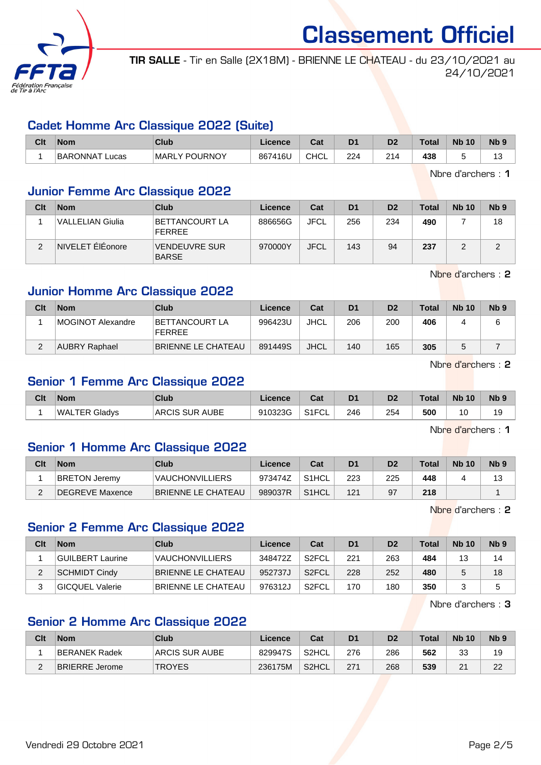

TIR SALLE - Tir en Salle (2X18M) - BRIENNE LE CHATEAU - du 23/10/2021 au 24/10/2021

#### Cadet Homme Arc Classique 2022 (Suite)

| Clt | <b>Nom</b>               | <b>Club</b>          | ∟icence | <b>That</b><br>ual | D1  | D <sub>2</sub> | $\tau$ otal | <b>N<sub>b</sub></b><br>10 | N <sub>b</sub> <sub>9</sub> |
|-----|--------------------------|----------------------|---------|--------------------|-----|----------------|-------------|----------------------------|-----------------------------|
|     | <b>BARONNAT</b><br>∟ucas | LY POURNOY<br>MARL ! | 867416L | CHCL               | 224 | 011            | 438         |                            | $\overline{a}$<br>ں ،       |

Nbre d'archers : 1

#### Junior Femme Arc Classique 2022

| Clt | <b>Nom</b>       | Club                                   | Licence | Cat         | D <sub>1</sub> | D <sub>2</sub> | <b>Total</b> | <b>Nb 10</b> | N <sub>b</sub> <sub>9</sub> |
|-----|------------------|----------------------------------------|---------|-------------|----------------|----------------|--------------|--------------|-----------------------------|
|     | VALLELIAN Giulia | <b>BETTANCOURT LA</b><br><b>FERREE</b> | 886656G | <b>JFCL</b> | 256            | 234            | 490          |              | 18                          |
| ⌒   | NIVELET ÉlÉonore | <b>VENDEUVRE SUR</b><br><b>BARSE</b>   | 970000Y | <b>JFCL</b> | 143            | 94             | 237          |              |                             |

Nbre d'archers : 2

## Junior Homme Arc Classique 2022

| Clt | <b>Nom</b>           | Club                            | Licence | Cat         | D <sub>1</sub> | D <sub>2</sub> | <b>Total</b> | <b>Nb 10</b> | N <sub>b</sub> 9 |
|-----|----------------------|---------------------------------|---------|-------------|----------------|----------------|--------------|--------------|------------------|
|     | MOGINOT Alexandre    | BETTANCOURT LA<br><b>FERREE</b> | 996423U | <b>JHCL</b> | 206            | 200            | 406          |              | 6                |
|     | <b>AUBRY Raphael</b> | <b>BRIENNE LE CHATEAU</b>       | 891449S | <b>JHCL</b> | 140            | 165            | 305          |              |                  |

Nbre d'archers : 2

## Senior 1 Femme Arc Classique 2022

| Clt | Nom               | <b>Club</b>           | Licence | $P - 4$<br>uau                     | D <sub>1</sub> | D <sub>2</sub> | <b>Total</b> | <b>Nb</b><br>10 | N <sub>b</sub> <sub>9</sub> |
|-----|-------------------|-----------------------|---------|------------------------------------|----------------|----------------|--------------|-----------------|-----------------------------|
|     | WAL<br>TER Gladvs | . AUBE<br>SUR.<br>AR( | 910323G | $\sim$ $\sim$ $\sim$<br>″ ⊢<br>ิ∪∟ | 246            | 254            | 500          | 10              | . .<br>1 J                  |

Nbre d'archers : 1

#### Senior 1 Homme Arc Classique 2022

| Clt | <b>Nom</b>           | Club                   | ∟icence⊬ | Cat                | D <sub>1</sub> | D <sub>2</sub> | <b>Total</b> | <b>Nb 10</b> | N <sub>b</sub> <sub>9</sub> |
|-----|----------------------|------------------------|----------|--------------------|----------------|----------------|--------------|--------------|-----------------------------|
|     | <b>BRETON Jeremy</b> | <b>VAUCHONVILLIERS</b> | 973474Z  | S <sub>1</sub> HCL | 223            | 225            | 448          |              |                             |
|     | DEGREVE Maxence      | BRIENNE LE CHATEAU     | 989037R  | S <sub>1</sub> HCL | 121            | 97             | 218          |              |                             |

Nbre d'archers : 2

## Senior 2 Femme Arc Classique 2022

| Clt | <b>Nom</b>             | Club                   | Licence | Cat                | D <sub>1</sub> | D <sub>2</sub> | Total | <b>Nb 10</b> | N <sub>b</sub> 9 |
|-----|------------------------|------------------------|---------|--------------------|----------------|----------------|-------|--------------|------------------|
|     | GUILBERT Laurine       | <b>VAUCHONVILLIERS</b> | 348472Z | S <sub>2</sub> FCL | 221            | 263            | 484   | 13           | 14               |
|     | <b>SCHMIDT Cindy</b>   | BRIENNE LE CHATEAU     | 952737J | S <sub>2</sub> FCL | 228            | 252            | 480   |              | 18               |
|     | <b>GICQUEL Valerie</b> | BRIENNE LE CHATEAU     | 976312J | S2FCL              | 170            | 180            | 350   |              | 5                |

Nbre d'archers : 3

### Senior 2 Homme Arc Classique 2022

| Clt | <b>Nom</b>            | Club                  | ∟icence | Cat                | D <sub>1</sub> | D <sub>2</sub> | <b>Total</b> | <b>Nb 10</b> | <b>N<sub>b</sub></b> |
|-----|-----------------------|-----------------------|---------|--------------------|----------------|----------------|--------------|--------------|----------------------|
|     | BERANEK Radek         | <b>ARCIS SUR AUBE</b> | 829947S | S <sub>2</sub> HCL | 276            | 286            | 562          | າາ<br>ື      | 19                   |
| -   | <b>BRIERRE Jerome</b> | <b>TROYES</b>         | 236175M | S2HCL              | 271            | 268            | 539          | $\sim$<br>∠  | ററ<br>∠∠             |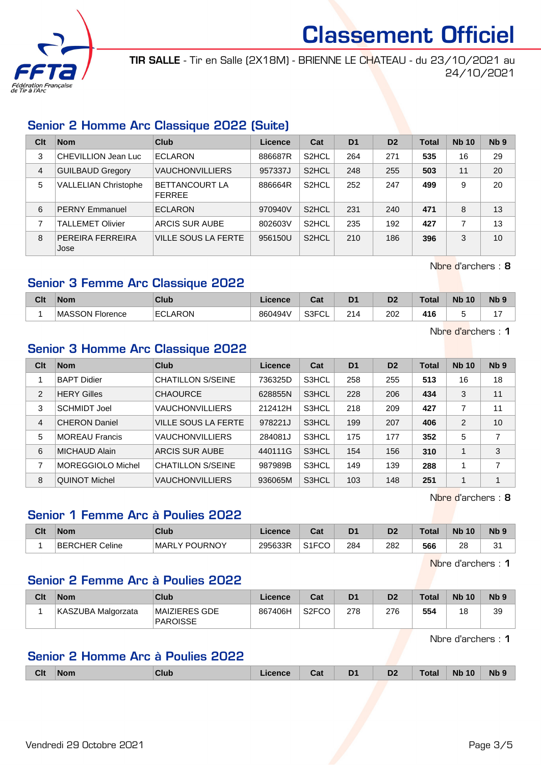

TIR SALLE - Tir en Salle (2X18M) - BRIENNE LE CHATEAU - du 23/10/2021 au 24/10/2021

## Senior 2 Homme Arc Classique 2022 (Suite)

| Clt | <b>Nom</b>                  | Club                                   | Licence | Cat                | D <sub>1</sub> | D <sub>2</sub> | <b>Total</b> | <b>Nb 10</b> | N <sub>b</sub> <sub>9</sub> |
|-----|-----------------------------|----------------------------------------|---------|--------------------|----------------|----------------|--------------|--------------|-----------------------------|
| 3   | CHEVILLION Jean Luc         | <b>ECLARON</b>                         | 886687R | S <sub>2</sub> HCL | 264            | 271            | 535          | 16           | 29                          |
| 4   | <b>GUILBAUD Gregory</b>     | <b>VAUCHONVILLIERS</b>                 | 957337J | S <sub>2</sub> HCL | 248            | 255            | 503          | 11           | 20                          |
| 5   | <b>VALLELIAN Christophe</b> | <b>BETTANCOURT LA</b><br><b>FERREE</b> | 886664R | S <sub>2</sub> HCL | 252            | 247            | 499          | 9            | 20                          |
| 6   | <b>PERNY Emmanuel</b>       | <b>ECLARON</b>                         | 970940V | S <sub>2</sub> HCL | 231            | 240            | 471          | 8            | 13                          |
|     | <b>TALLEMET Olivier</b>     | <b>ARCIS SUR AUBE</b>                  | 802603V | S <sub>2</sub> HCL | 235            | 192            | 427          |              | 13                          |
| 8   | PEREIRA FERREIRA<br>Jose    | VILLE SOUS LA FERTE                    | 956150U | S <sub>2</sub> HCL | 210            | 186            | 396          | 3            | 10                          |

Nbre d'archers : 8

## Senior 3 Femme Arc Classique 2022

| Clt | <b>Nom</b>                            | Club           | Licence | ີ່<br>sal           | D <sub>1</sub> | D <sub>2</sub> | Total | <b>N<sub>b</sub></b><br>10 | <b>N<sub>b</sub></b> |
|-----|---------------------------------------|----------------|---------|---------------------|----------------|----------------|-------|----------------------------|----------------------|
|     | <b>MASSON</b><br>-<br><b>Florence</b> | <b>ECLARON</b> | 860494V | 0.0001<br>◡∟<br>וטט | 214            | 202            | 416   |                            |                      |

Nbre d'archers : 1

#### Senior 3 Homme Arc Classique 2022

| Clt            | <b>Nom</b>            | Club                     | Licence | Cat   | D <sub>1</sub> | D <sub>2</sub> | <b>Total</b> | <b>Nb 10</b>   | Nb <sub>9</sub>         |
|----------------|-----------------------|--------------------------|---------|-------|----------------|----------------|--------------|----------------|-------------------------|
|                | <b>BAPT Didier</b>    | <b>CHATILLON S/SEINE</b> | 736325D | S3HCL | 258            | 255            | 513          | 16             | 18                      |
| $\overline{2}$ | <b>HERY Gilles</b>    | <b>CHAOURCE</b>          | 628855N | S3HCL | 228            | 206            | 434          | 3              | 11                      |
| 3              | <b>SCHMIDT Joel</b>   | <b>VAUCHONVILLIERS</b>   | 212412H | S3HCL | 218            | 209            | 427          | $\overline{7}$ | 11                      |
| 4              | <b>CHERON Daniel</b>  | VILLE SOUS LA FERTE      | 978221J | S3HCL | 199            | 207            | 406          | $\overline{2}$ | 10                      |
| 5              | <b>MOREAU Francis</b> | <b>VAUCHONVILLIERS</b>   | 284081J | S3HCL | 175            | 177            | 352          | 5              | 7                       |
| 6              | <b>MICHAUD Alain</b>  | ARCIS SUR AUBE           | 440111G | S3HCL | 154            | 156            | 310          | $\mathbf{1}$   | 3                       |
| 7              | MOREGGIOLO Michel     | <b>CHATILLON S/SEINE</b> | 987989B | S3HCL | 149            | 139            | 288          | 1              | $\overline{ }$          |
| 8              | QUINOT Michel         | <b>VAUCHONVILLIERS</b>   | 936065M | S3HCL | 103            | 148            | 251          | 1              | $\overline{\mathbf{A}}$ |

Nbre d'archers : 8

## Senior 1 Femme Arc à Poulies 2022

| Clt | Nom            | Club          | Licence | <b>Take</b><br>⊍d     | D <sub>1</sub> | D <sub>2</sub> | $\tau$ otal | <b>Nb</b><br>10 | N <sub>b</sub> <sub>9</sub> |
|-----|----------------|---------------|---------|-----------------------|----------------|----------------|-------------|-----------------|-----------------------------|
|     | BERCHER Celine | MARLY POURNOY | 295633R | 0.150<br>10'ف<br>−∪∪- | 284            | 282            | 566         | 28              | ົ<br>ັ                      |

Nbre d'archers : 1

### Senior 2 Femme Arc à Poulies 2022

| Clt | <b>Nom</b>         | Club                      | Licence | Cat                | D <sub>1</sub> | D <sub>2</sub> | <b>Total</b> | <b>Nb 10</b> | N <sub>b</sub> <sub>9</sub> |
|-----|--------------------|---------------------------|---------|--------------------|----------------|----------------|--------------|--------------|-----------------------------|
|     | KASZUBA Malgorzata | MAIZIERES GDE<br>PAROISSE | 867406H | S <sub>2</sub> FCO | 278            | 276            | 554          | 18           | 39                          |

Nbre d'archers : 1

## Senior 2 Homme Arc à Poulies 2022

|  | <b>Clt</b> | <b>Nom</b> | Club | icence | Jat | $\mathbf{D1}$<br>_ | D <sub>2</sub> | Total | <b>N<sub>b</sub></b><br>10 | <b>Nb</b> |
|--|------------|------------|------|--------|-----|--------------------|----------------|-------|----------------------------|-----------|
|--|------------|------------|------|--------|-----|--------------------|----------------|-------|----------------------------|-----------|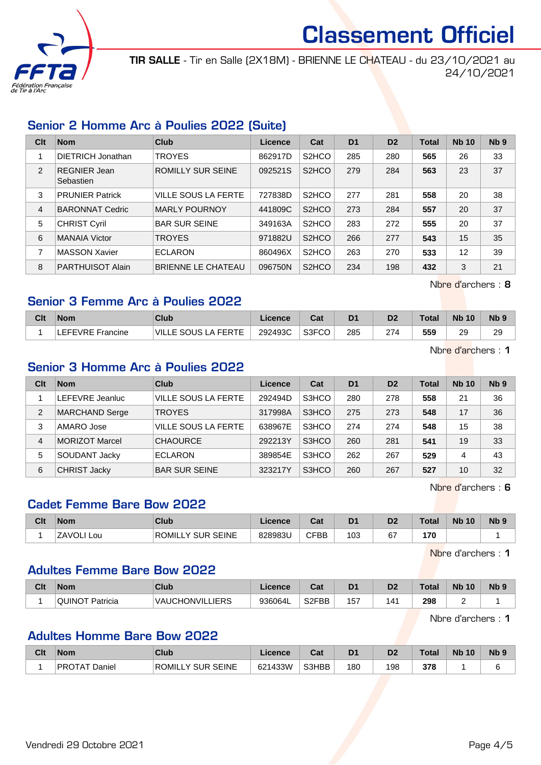

TIR SALLE - Tir en Salle (2X18M) - BRIENNE LE CHATEAU - du 23/10/2021 au 24/10/2021

## Senior 2 Homme Arc à Poulies 2022 (Suite)

| Clt | <b>Nom</b>                | Club                      | Licence | Cat                             | D <sub>1</sub> | D <sub>2</sub> | <b>Total</b> | <b>Nb 10</b> | Nb <sub>9</sub> |
|-----|---------------------------|---------------------------|---------|---------------------------------|----------------|----------------|--------------|--------------|-----------------|
|     | DIETRICH Jonathan         | <b>TROYES</b>             | 862917D | S <sub>2</sub> H <sub>C</sub> O | 285            | 280            | 565          | 26           | 33              |
| 2   | REGNIER Jean<br>Sebastien | ROMILLY SUR SEINE         | 092521S | S <sub>2</sub> H <sub>C</sub> O | 279            | 284            | 563          | 23           | 37              |
| 3   | <b>PRUNIER Patrick</b>    | VILLE SOUS LA FERTE       | 727838D | S <sub>2</sub> H <sub>C</sub> O | 277            | 281            | 558          | 20           | 38              |
| 4   | <b>BARONNAT Cedric</b>    | <b>MARLY POURNOY</b>      | 441809C | S <sub>2</sub> HCO              | 273            | 284            | 557          | 20           | 37              |
| 5   | <b>CHRIST Cyril</b>       | <b>BAR SUR SEINE</b>      | 349163A | S <sub>2</sub> HCO              | 283            | 272            | 555          | 20           | 37              |
| 6   | <b>MANAIA Victor</b>      | <b>TROYES</b>             | 971882U | S <sub>2</sub> HCO              | 266            | 277            | 543          | 15           | 35              |
| 7   | <b>MASSON Xavier</b>      | <b>ECLARON</b>            | 860496X | S <sub>2</sub> H <sub>CO</sub>  | 263            | 270            | 533          | 12           | 39              |
| 8   | <b>PARTHUISOT Alain</b>   | <b>BRIENNE LE CHATEAU</b> | 096750N | S <sub>2</sub> HCO              | 234            | 198            | 432          | 3            | 21              |

Nbre d'archers : 8

#### Senior 3 Femme Arc à Poulies 2022

| Clt | <b>Nom</b>       | Club                          | ∟icence | ∩~'<br>⊍aι | D <sub>1</sub> | D <sub>2</sub> | <b>Total</b> | <b>N<sub>b</sub></b><br>10 | N <sub>b</sub> 9 |
|-----|------------------|-------------------------------|---------|------------|----------------|----------------|--------------|----------------------------|------------------|
|     | EFEVRE Francine_ | LA FERTE<br>VIL.<br>LE SOUS L | 292493C | S3FCO      | 285            | 274            | 559          | 29                         | 29               |

Nbre d'archers : 1

## Senior 3 Homme Arc à Poulies 2022

| Clt | <b>Nom</b>            | Club                       | Licence | Cat   | D <sub>1</sub> | D <sub>2</sub> | <b>Total</b> | <b>Nb 10</b> | Nb <sub>9</sub> |
|-----|-----------------------|----------------------------|---------|-------|----------------|----------------|--------------|--------------|-----------------|
|     | LEFEVRE Jeanluc       | <b>VILLE SOUS LA FERTE</b> | 292494D | S3HCO | 280            | 278            | 558          | 21           | 36              |
| 2   | <b>MARCHAND Serge</b> | <b>TROYES</b>              | 317998A | S3HCO | 275            | 273            | 548          | 17           | 36              |
| 3   | AMARO Jose            | <b>VILLE SOUS LA FERTE</b> | 638967E | S3HCO | 274            | 274            | 548          | 15           | 38              |
| 4   | <b>MORIZOT Marcel</b> | <b>CHAOURCE</b>            | 292213Y | S3HCO | 260            | 281            | 541          | 19           | 33              |
| 5   | SOUDANT Jacky         | <b>ECLARON</b>             | 389854E | S3HCO | 262            | 267            | 529          | 4            | 43              |
| 6   | <b>CHRIST Jacky</b>   | <b>BAR SUR SEINE</b>       | 323217Y | S3HCO | 260            | 267            | 527          | 10           | 32              |

Nbre d'archers : 6

## Cadet Femme Bare Bow 2022

| Clt | <b>Nom</b>          | Club                                 | ∠icence | <b>Take</b><br>⊍⊌ | D <sub>1</sub> | D <sub>2</sub> | Total | <b>Nb</b><br>10 | N <sub>b</sub> <sub>9</sub> |
|-----|---------------------|--------------------------------------|---------|-------------------|----------------|----------------|-------|-----------------|-----------------------------|
|     | <b>ZAVOL</b><br>Lou | <b>ROMILI</b><br>SEINE<br>. SUR<br>v | 828983L | <b>CFBB</b>       | 103            | 67             | 170   |                 |                             |

Nbre d'archers : 1

#### Adultes Femme Bare Bow 2022

| Cit | <b>Nom</b>             | Club                   | Licence | <b>That</b><br>ual | D <sub>1</sub> | D <sub>2</sub> | <b>Total</b> | <b>Nb</b><br>10 | N <sub>b</sub> <sub>9</sub> |
|-----|------------------------|------------------------|---------|--------------------|----------------|----------------|--------------|-----------------|-----------------------------|
|     | <b>QUINOT Patricia</b> | <b>VAUCHONVILLIERS</b> | 936064L | S <sub>2</sub> FBB | 157            | 141            | 298<br>$ -$  |                 |                             |

Nbre d'archers : 1

#### Adultes Homme Bare Bow 2022

| Clt | <b>Nom</b>           | <b>Club</b>                 | Licence | יפ<br>uai | D <sub>1</sub> | D <sub>2</sub> | Total | <b>Nb</b><br>10 | <b>Nb</b> |
|-----|----------------------|-----------------------------|---------|-----------|----------------|----------------|-------|-----------------|-----------|
|     | <b>PROTAT Daniel</b> | <b>SEINE</b><br>ROMILLY SUR | 621433W | S3HBB     | 180            | 198            | 378   |                 |           |